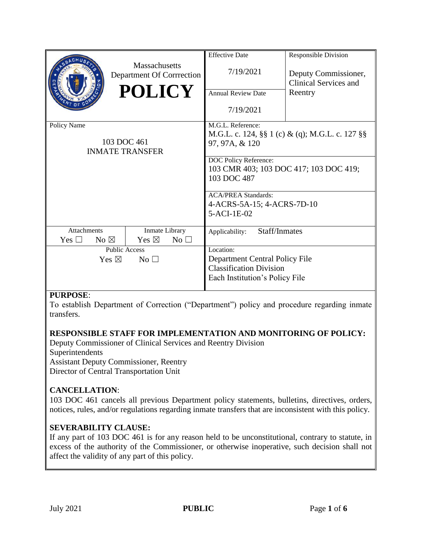|                                    |  |                                                   |              | <b>Effective Date</b>                                   | <b>Responsible Division</b> |
|------------------------------------|--|---------------------------------------------------|--------------|---------------------------------------------------------|-----------------------------|
|                                    |  | <b>Massachusetts</b><br>Department Of Corrrection | 7/19/2021    | Deputy Commissioner,<br><b>Clinical Services and</b>    |                             |
|                                    |  | <b>POLICY</b>                                     |              | <b>Annual Review Date</b>                               | Reentry                     |
|                                    |  |                                                   |              | 7/19/2021                                               |                             |
| Policy Name                        |  |                                                   |              | M.G.L. Reference:                                       |                             |
|                                    |  |                                                   |              | M.G.L. c. 124, $\S\S 1$ (c) & (q); M.G.L. c. 127 $\S\S$ |                             |
| 103 DOC 461                        |  |                                                   |              | 97, 97A, & 120                                          |                             |
| <b>INMATE TRANSFER</b>             |  |                                                   |              |                                                         |                             |
|                                    |  |                                                   |              | DOC Policy Reference:                                   |                             |
|                                    |  |                                                   |              | 103 CMR 403; 103 DOC 417; 103 DOC 419;                  |                             |
|                                    |  |                                                   |              | 103 DOC 487                                             |                             |
|                                    |  |                                                   |              |                                                         |                             |
|                                    |  |                                                   |              | <b>ACA/PREA Standards:</b>                              |                             |
|                                    |  |                                                   |              | 4-ACRS-5A-15; 4-ACRS-7D-10                              |                             |
|                                    |  |                                                   |              | 5-ACI-1E-02                                             |                             |
|                                    |  |                                                   |              |                                                         |                             |
| Attachments                        |  | Inmate Library                                    |              | Staff/Inmates<br>Applicability:                         |                             |
| No $\boxtimes$<br>Yes $\Box$       |  | Yes $\boxtimes$                                   | No $\square$ |                                                         |                             |
| <b>Public Access</b>               |  |                                                   |              | Location:                                               |                             |
| Yes $\boxtimes$<br>No <sub>1</sub> |  |                                                   |              | Department Central Policy File                          |                             |
|                                    |  |                                                   |              | <b>Classification Division</b>                          |                             |
|                                    |  |                                                   |              | Each Institution's Policy File                          |                             |
|                                    |  |                                                   |              |                                                         |                             |

## **PURPOSE**:

To establish Department of Correction ("Department") policy and procedure regarding inmate transfers.

## **RESPONSIBLE STAFF FOR IMPLEMENTATION AND MONITORING OF POLICY:**

Deputy Commissioner of Clinical Services and Reentry Division

Superintendents

Assistant Deputy Commissioner, Reentry

Director of Central Transportation Unit

# **CANCELLATION**:

103 DOC 461 cancels all previous Department policy statements, bulletins, directives, orders, notices, rules, and/or regulations regarding inmate transfers that are inconsistent with this policy.

# **SEVERABILITY CLAUSE:**

If any part of 103 DOC 461 is for any reason held to be unconstitutional, contrary to statute, in excess of the authority of the Commissioner, or otherwise inoperative, such decision shall not affect the validity of any part of this policy.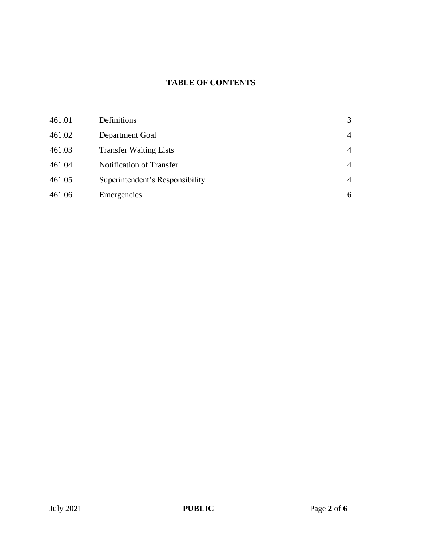# **TABLE OF CONTENTS**

| 461.01 | Definitions                     | 3              |
|--------|---------------------------------|----------------|
| 461.02 | Department Goal                 | $\overline{4}$ |
| 461.03 | <b>Transfer Waiting Lists</b>   | $\overline{4}$ |
| 461.04 | Notification of Transfer        | $\overline{4}$ |
| 461.05 | Superintendent's Responsibility | $\overline{4}$ |
| 461.06 | Emergencies                     | 6              |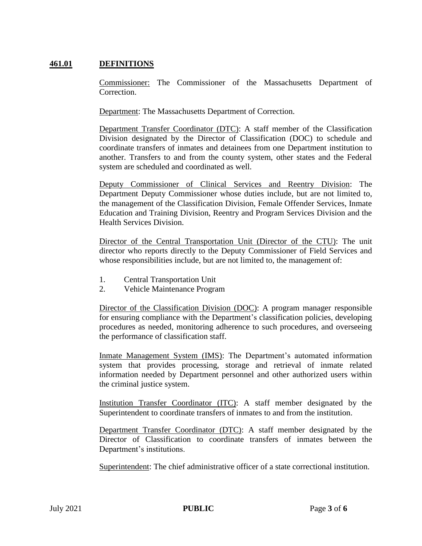## **461.01 DEFINITIONS**

Commissioner: The Commissioner of the Massachusetts Department of Correction.

Department: The Massachusetts Department of Correction.

Department Transfer Coordinator (DTC): A staff member of the Classification Division designated by the Director of Classification (DOC) to schedule and coordinate transfers of inmates and detainees from one Department institution to another. Transfers to and from the county system, other states and the Federal system are scheduled and coordinated as well.

Deputy Commissioner of Clinical Services and Reentry Division: The Department Deputy Commissioner whose duties include, but are not limited to, the management of the Classification Division, Female Offender Services, Inmate Education and Training Division, Reentry and Program Services Division and the Health Services Division.

Director of the Central Transportation Unit (Director of the CTU): The unit director who reports directly to the Deputy Commissioner of Field Services and whose responsibilities include, but are not limited to, the management of:

- 1. Central Transportation Unit
- 2. Vehicle Maintenance Program

Director of the Classification Division (DOC): A program manager responsible for ensuring compliance with the Department's classification policies, developing procedures as needed, monitoring adherence to such procedures, and overseeing the performance of classification staff.

Inmate Management System (IMS): The Department's automated information system that provides processing, storage and retrieval of inmate related information needed by Department personnel and other authorized users within the criminal justice system.

Institution Transfer Coordinator (ITC): A staff member designated by the Superintendent to coordinate transfers of inmates to and from the institution.

Department Transfer Coordinator (DTC): A staff member designated by the Director of Classification to coordinate transfers of inmates between the Department's institutions.

Superintendent: The chief administrative officer of a state correctional institution.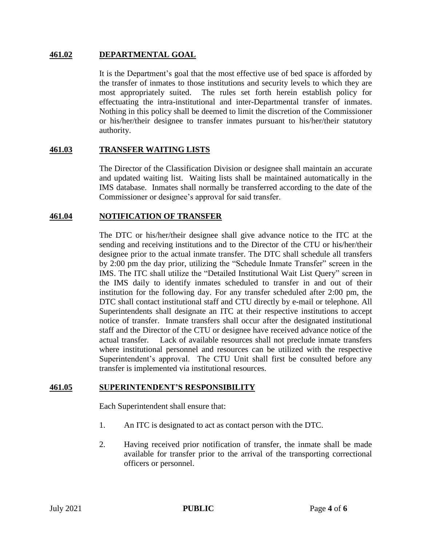#### **461.02 DEPARTMENTAL GOAL**

It is the Department's goal that the most effective use of bed space is afforded by the transfer of inmates to those institutions and security levels to which they are most appropriately suited. The rules set forth herein establish policy for effectuating the intra-institutional and inter-Departmental transfer of inmates. Nothing in this policy shall be deemed to limit the discretion of the Commissioner or his/her/their designee to transfer inmates pursuant to his/her/their statutory authority.

#### **461.03 TRANSFER WAITING LISTS**

The Director of the Classification Division or designee shall maintain an accurate and updated waiting list. Waiting lists shall be maintained automatically in the IMS database. Inmates shall normally be transferred according to the date of the Commissioner or designee's approval for said transfer.

#### **461.04 NOTIFICATION OF TRANSFER**

The DTC or his/her/their designee shall give advance notice to the ITC at the sending and receiving institutions and to the Director of the CTU or his/her/their designee prior to the actual inmate transfer. The DTC shall schedule all transfers by 2:00 pm the day prior, utilizing the "Schedule Inmate Transfer" screen in the IMS. The ITC shall utilize the "Detailed Institutional Wait List Query" screen in the IMS daily to identify inmates scheduled to transfer in and out of their institution for the following day. For any transfer scheduled after 2:00 pm, the DTC shall contact institutional staff and CTU directly by e-mail or telephone. All Superintendents shall designate an ITC at their respective institutions to accept notice of transfer. Inmate transfers shall occur after the designated institutional staff and the Director of the CTU or designee have received advance notice of the actual transfer. Lack of available resources shall not preclude inmate transfers where institutional personnel and resources can be utilized with the respective Superintendent's approval. The CTU Unit shall first be consulted before any transfer is implemented via institutional resources.

#### **461.05 SUPERINTENDENT'S RESPONSIBILITY**

Each Superintendent shall ensure that:

- 1. An ITC is designated to act as contact person with the DTC.
- 2. Having received prior notification of transfer, the inmate shall be made available for transfer prior to the arrival of the transporting correctional officers or personnel.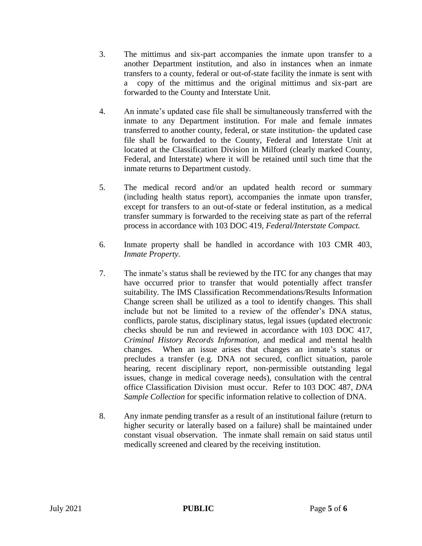- 3. The mittimus and six-part accompanies the inmate upon transfer to a another Department institution, and also in instances when an inmate transfers to a county, federal or out-of-state facility the inmate is sent with a copy of the mittimus and the original mittimus and six-part are forwarded to the County and Interstate Unit.
- 4. An inmate's updated case file shall be simultaneously transferred with the inmate to any Department institution. For male and female inmates transferred to another county, federal, or state institution- the updated case file shall be forwarded to the County, Federal and Interstate Unit at located at the Classification Division in Milford (clearly marked County, Federal, and Interstate) where it will be retained until such time that the inmate returns to Department custody.
- 5. The medical record and/or an updated health record or summary (including health status report), accompanies the inmate upon transfer, except for transfers to an out-of-state or federal institution, as a medical transfer summary is forwarded to the receiving state as part of the referral process in accordance with 103 DOC 419, *Federal/Interstate Compact.*
- 6. Inmate property shall be handled in accordance with 103 CMR 403, *Inmate Property.*
- 7. The inmate's status shall be reviewed by the ITC for any changes that may have occurred prior to transfer that would potentially affect transfer suitability. The IMS Classification Recommendations/Results Information Change screen shall be utilized as a tool to identify changes. This shall include but not be limited to a review of the offender's DNA status, conflicts, parole status, disciplinary status, legal issues (updated electronic checks should be run and reviewed in accordance with 103 DOC 417, *Criminal History Records Information*, and medical and mental health changes. When an issue arises that changes an inmate's status or precludes a transfer (e.g. DNA not secured, conflict situation, parole hearing, recent disciplinary report, non-permissible outstanding legal issues, change in medical coverage needs), consultation with the central office Classification Division must occur. Refer to 103 DOC 487, *DNA Sample Collection* for specific information relative to collection of DNA.
- 8. Any inmate pending transfer as a result of an institutional failure (return to higher security or laterally based on a failure) shall be maintained under constant visual observation. The inmate shall remain on said status until medically screened and cleared by the receiving institution.